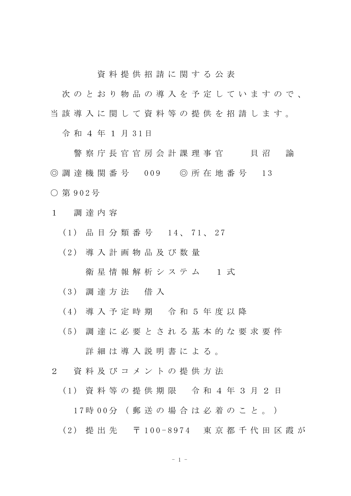資 料 提 供 招 請 に 関 す る 公 表

次のとおり物品の導入を予定していますので、 当 該 導 入 に 関 し て 資 料 等 の 提 供 を 招 請 し ま す 。

令 和 4 年 1 月 3 1 日

警 察 庁 長 官 官 房 会 計 課 理 事 官 て て 貝 沼 の 諭 ◎ 調 達 機 関 番 号 009 ◎ 所 在 地 番 号 13 ○ 第 9 0 2 号

- 1 調 達 内 容
	- ( 1 ) 品 目 分 類 番 号 1 4 、 7 1 、 2 7
	- ( 2 ) 導 入 計 画 物 品 及 び 数 量

衛星情報解析システム 1式

- ( 3 ) 調 達 方 法 借 入
- ( 4 ) 導 入 予 定 時 期 令 和 5 年 度 以 降
- ( 5 ) 調 達 に 必 要 と さ れ る 基 本 的 な 要 求 要 件 詳 細 は 導 入 説 明 書 に よ る 。
- 2 資 料 及 び コ メ ン ト の 提 供 方 法
	- ( 1 ) 資 料 等 の 提 供 期 限 令 和 4 年 3 月 2 日
		- 1 7 時 0 0 分 ( 郵 送 の 場 合 は 必 着 の こ と 。 )
	- ( 2 ) 提 出 先 〒 1 0 0 8 9 7 4 東 京 都 千 代 田 区 霞 が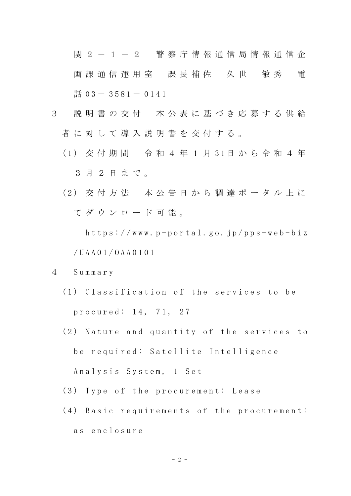関 2 - 1 - 2 警 察 庁 情 報 通 信 局 情 報 通 信 企 画 課 通 信 運 用 室 課 長 補 佐 久 世 敏 秀 電 話  $03 - 3581 - 0141$ 

- 3 説 明 書 の 交 付 本 公 表 に 基 づ き 応 募 す る 供 給 者に対して導入説明書を交付する。
	- ( 1 ) 交 付 期 間 令 和 4 年 1 月 3 1 日 か ら 令 和 4 年 3 月 2 日 ま で 。
	- ( 2 ) 交 付 方 法 本 公 告 日 か ら 調 達 ポ ー タ ル 上 に て ダ ウ ン ロ ー ド 可 能 。

 $h$ ttps://www.p-portal.go.jp/pps-web-biz / U A A 0 1 / O A A 0 1 0 1

- 4 S u m m a r y
	- (1) Classification of the services to be p r o c u r e d : 14, 71, 27
	- (2) Nature and quantity of the services to be required: Satellite Intelligence

Analysis System, 1 Set

- (3) Type of the procurement: Lease
- (4) Basic requirements of the procurement: a s e n c l o s u r e